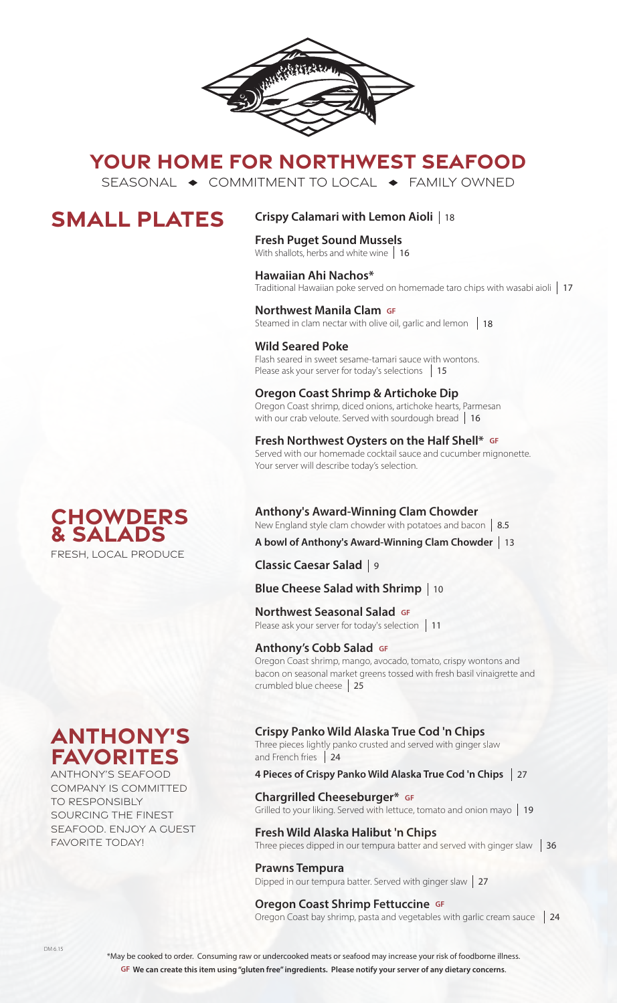

# **YOUR HOME FOR NORTHWEST SEAFOOD**

SEASONAL  $\rightarrow$  COMMITMENT TO LOCAL  $\rightarrow$  FAMILY OWNED

# **SMALL PLATES**

# **Crispy Calamari with Lemon Aioli**  18

## **Fresh Puget Sound Mussels**

With shallots, herbs and white wine 16

## **Hawaiian Ahi Nachos\***

Traditional Hawaiian poke served on homemade taro chips with wasabi aioli 17

## **Northwest Manila Clam GF**

Steamed in clam nectar with olive oil, garlic and lemon 18

## **Wild Seared Poke**

Flash seared in sweet sesame-tamari sauce with wontons. Please ask your server for today's selections 15

### **Oregon Coast Shrimp & Artichoke Dip**

Oregon Coast shrimp, diced onions, artichoke hearts, Parmesan with our crab veloute. Served with sourdough bread 16

#### **Fresh Northwest Oysters on the Half Shell\* GF** Served with our homemade cocktail sauce and cucumber mignonette.

Your server will describe today's selection.

## **Chowders & Salads** FRESH, LOCAL PRODUCE

**Anthony's Award-Winning Clam Chowder** New England style clam chowder with potatoes and bacon 8.5

# **A bowl of Anthony's Award-Winning Clam Chowder**  13

**Classic Caesar Salad**  9

# **Blue Cheese Salad with Shrimp**  10

**Northwest Seasonal Salad GF TOI LITWEST SEASOTIAT SATACE SPREADING**<br>Please ask your server for today's selection | 11

#### **Anthony's Cobb Salad GF**

Oregon Coast shrimp, mango, avocado, tomato, crispy wontons and bacon on seasonal market greens tossed with fresh basil vinaigrette and crumbled blue cheese 25

### **Crispy Panko Wild Alaska True Cod 'n Chips**

Three pieces lightly panko crusted and served with ginger slaw and French fries 24

#### **4 Pieces of Crispy Panko Wild Alaska True Cod 'n Chips**  27

**Chargrilled Cheeseburger\* GF** Grilled to your liking. Served with lettuce, tomato and onion mayo 19

#### **Fresh Wild Alaska Halibut 'n Chips**

Three pieces dipped in our tempura batter and served with ginger slaw  $\parallel$  36

#### **Prawns Tempura**

Dipped in our tempura batter. Served with ginger slaw | 27

## **Oregon Coast Shrimp Fettuccine GF**

Oregon Coast bay shrimp, pasta and vegetables with garlic cream sauce 124



ANTHONY'S SEAFOOD COMPANY IS COMMITTED TO RESPONSIBLY SOURCING THE FINEST SEAFOOD. ENJOY A GUEST FAVORITE TODAY!

\*May be cooked to order. Consuming raw or undercooked meats or seafood may increase your risk of foodborne illness. **GF We can create this item using "gluten free" ingredients. Please notify your server of any dietary concerns**.